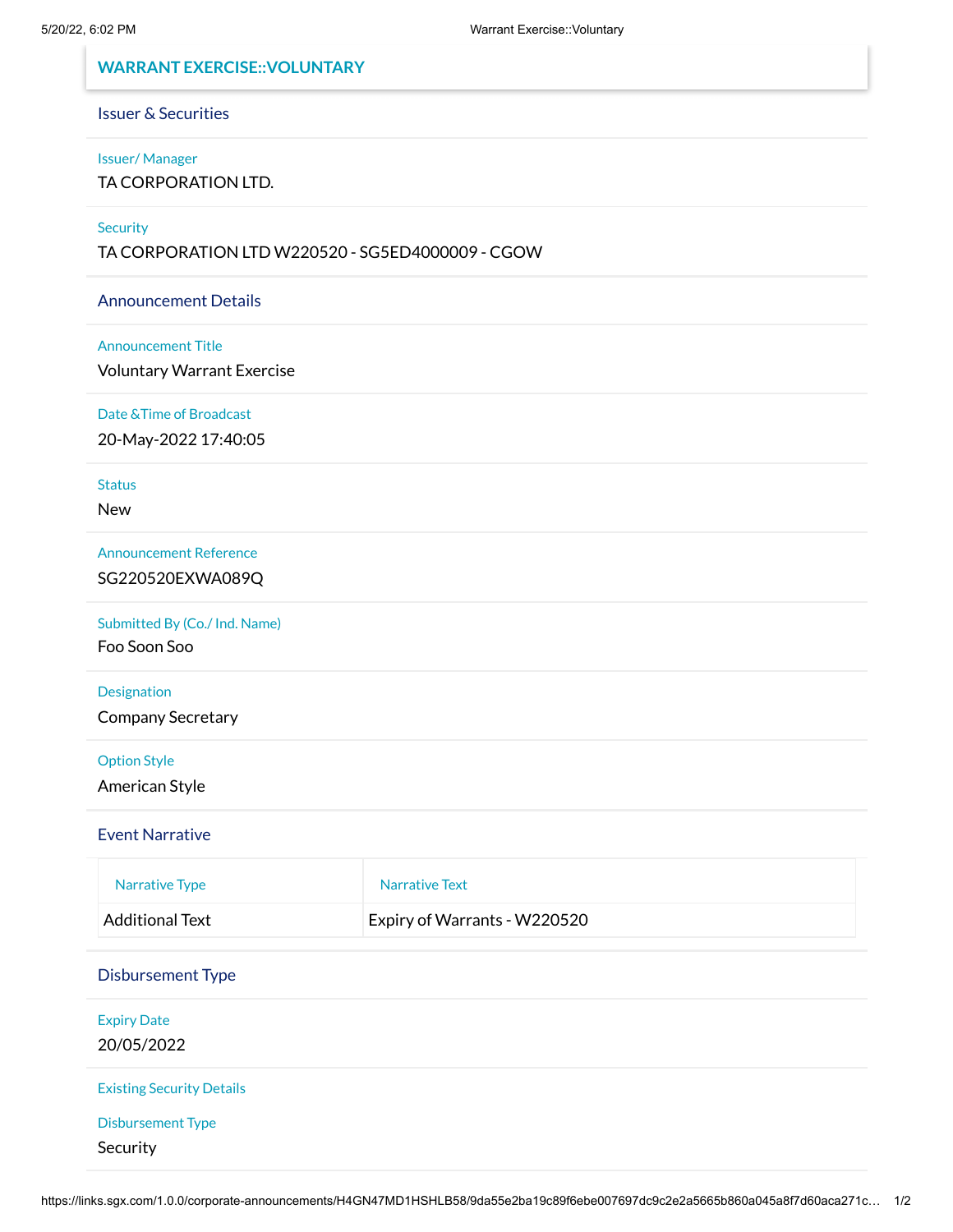# **WARRANT EXERCISE::VOLUNTARY**

## Issuer & Securities

#### Issuer/ Manager

TA CORPORATION LTD.

## **Security**

TA CORPORATION LTD W220520 - SG5ED4000009 - CGOW

### Announcement Details

#### Announcement Title

Voluntary Warrant Exercise

## Date &Time of Broadcast

20-May-2022 17:40:05

### **Status**

New

#### Announcement Reference

SG220520EXWA089Q

#### Submitted By (Co./ Ind. Name)

Foo Soon Soo

## Designation

Company Secretary

## Option Style

American Style

### Event Narrative

| Narrative Type  | Narrative Text               |
|-----------------|------------------------------|
| Additional Text | Expiry of Warrants - W220520 |

## Disbursement Type

Expiry Date 20/05/2022

#### Existing Security Details

Disbursement Type

Security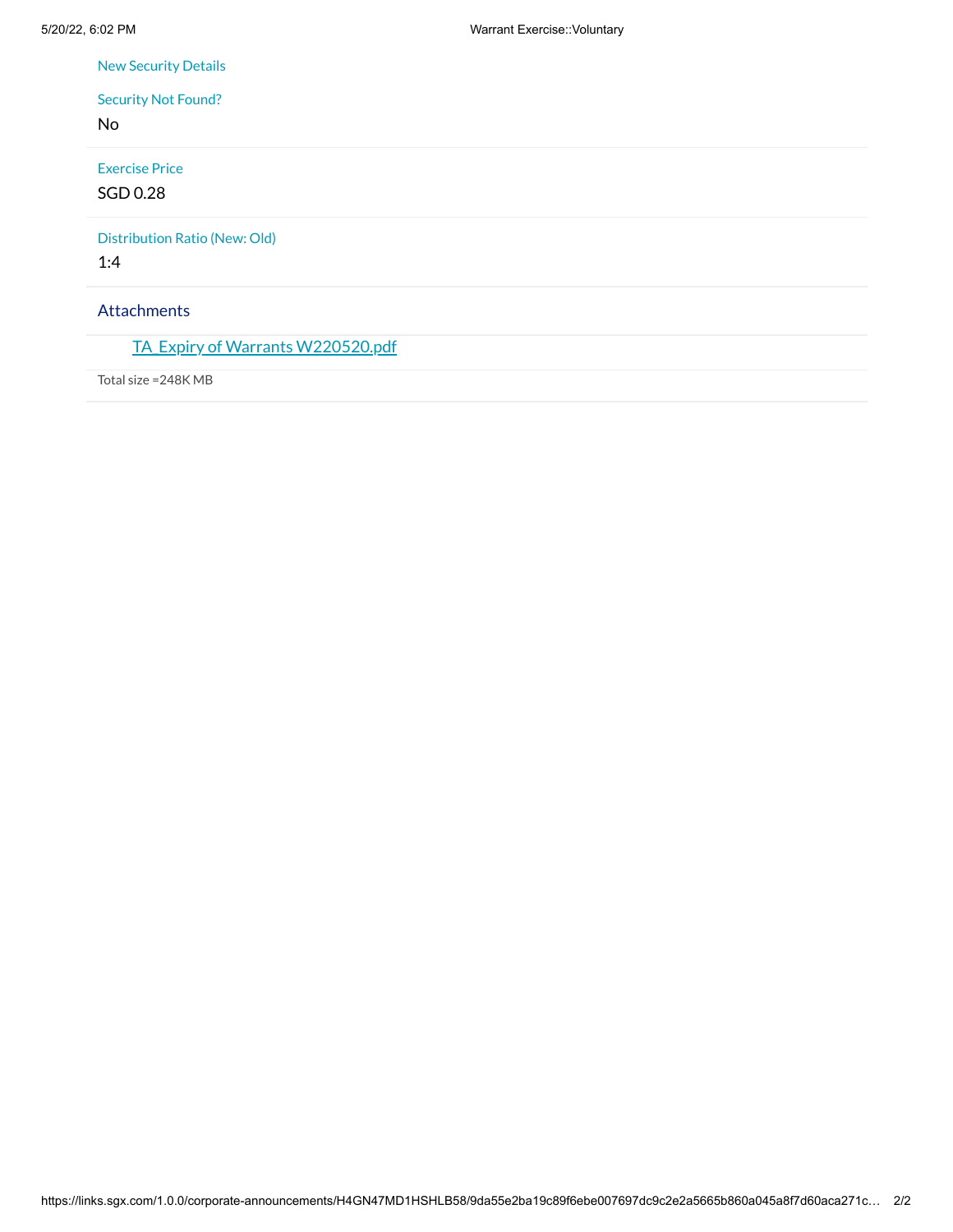New Security Details

# Security Not Found?

No

## Exercise Price

SGD 0.28

Distribution Ratio (New: Old)

1:4

## Attachments

TA Expiry of Warrants [W220520.pdf](https://links.sgx.com/1.0.0/corporate-announcements/H4GN47MD1HSHLB58/718031_TA_Expiry%20of%20Warrants%20W220520.pdf)

Total size =248K MB